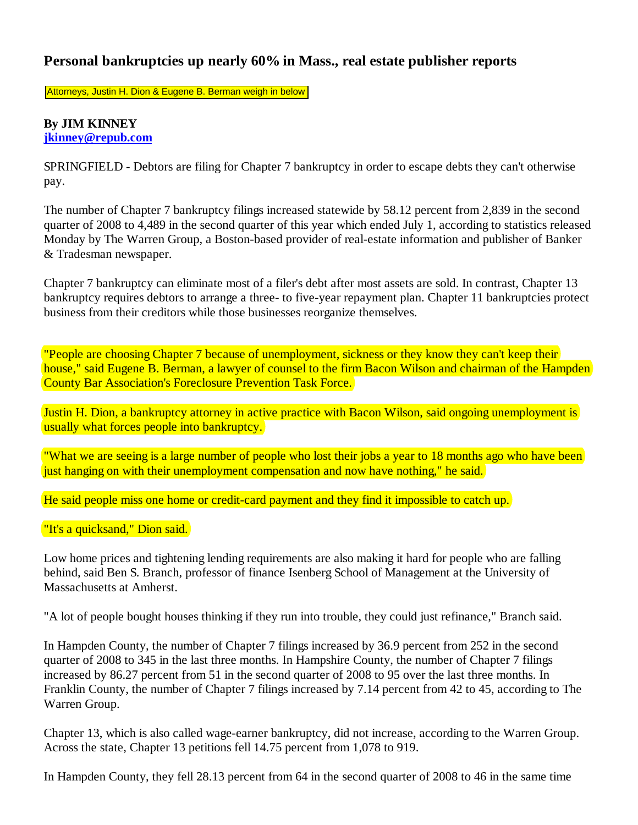## **Personal bankruptcies up nearly 60% in Mass., real estate publisher reports**

Attorneys, Justin H. Dion & Eugene B. Berman weigh in below

## **By JIM KINNEY jkinney@repub.com**

SPRINGFIELD - Debtors are filing for Chapter 7 bankruptcy in order to escape debts they can't otherwise pay.

The number of Chapter 7 bankruptcy filings increased statewide by 58.12 percent from 2,839 in the second quarter of 2008 to 4,489 in the second quarter of this year which ended July 1, according to statistics released Monday by The Warren Group, a Boston-based provider of real-estate information and publisher of Banker & Tradesman newspaper.

Chapter 7 bankruptcy can eliminate most of a filer's debt after most assets are sold. In contrast, Chapter 13 bankruptcy requires debtors to arrange a three- to five-year repayment plan. Chapter 11 bankruptcies protect business from their creditors while those businesses reorganize themselves.

"People are choosing Chapter 7 because of unemployment, sickness or they know they can't keep their house," said Eugene B. Berman, a lawyer of counsel to the firm Bacon Wilson and chairman of the Hampden County Bar Association's Foreclosure Prevention Task Force.

Justin H. Dion, a bankruptcy attorney in active practice with Bacon Wilson, said ongoing unemployment is usually what forces people into bankruptcy.

"What we are seeing is a large number of people who lost their jobs a year to 18 months ago who have been just hanging on with their unemployment compensation and now have nothing," he said.

He said people miss one home or credit-card payment and they find it impossible to catch up.

"It's a quicksand," Dion said.

Low home prices and tightening lending requirements are also making it hard for people who are falling behind, said Ben S. Branch, professor of finance Isenberg School of Management at the University of Massachusetts at Amherst.

"A lot of people bought houses thinking if they run into trouble, they could just refinance," Branch said.

In Hampden County, the number of Chapter 7 filings increased by 36.9 percent from 252 in the second quarter of 2008 to 345 in the last three months. In Hampshire County, the number of Chapter 7 filings increased by 86.27 percent from 51 in the second quarter of 2008 to 95 over the last three months. In Franklin County, the number of Chapter 7 filings increased by 7.14 percent from 42 to 45, according to The Warren Group.

Chapter 13, which is also called wage-earner bankruptcy, did not increase, according to the Warren Group. Across the state, Chapter 13 petitions fell 14.75 percent from 1,078 to 919.

In Hampden County, they fell 28.13 percent from 64 in the second quarter of 2008 to 46 in the same time